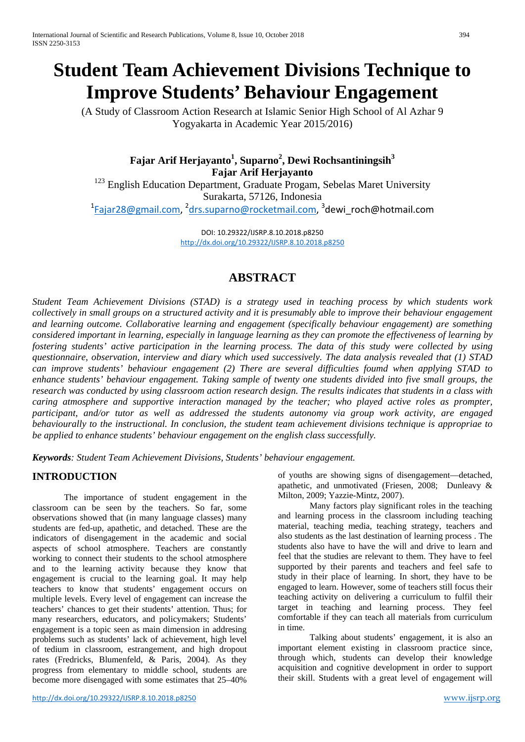# **Student Team Achievement Divisions Technique to Improve Students' Behaviour Engagement**

(A Study of Classroom Action Research at Islamic Senior High School of Al Azhar 9 Yogyakarta in Academic Year 2015/2016)

> ${\bf F}$ ajar Arif Herjayanto $^1$ , Suparno $^2$ , Dewi Rochsantiningsih $^3$ **Fajar Arif Herjayanto**

<sup>123</sup> English Education Department, Graduate Progam, Sebelas Maret University Surakarta, 57126, Indonesia <sup>1</sup>[Fajar28@gmail.com,](mailto:Fajar28@gmail.com) <sup>2</sup>[drs.suparno@rocketmail.com,](mailto:drs.suparno@rocketmail.com) <sup>3</sup>dewi\_roch@hotmail.com

DOI: 10.29322/IJSRP.8.10.2018.p8250 <http://dx.doi.org/10.29322/IJSRP.8.10.2018.p8250>

# **ABSTRACT**

*Student Team Achievement Divisions (STAD) is a strategy used in teaching process by which students work collectively in small groups on a structured activity and it is presumably able to improve their behaviour engagement and learning outcome. Collaborative learning and engagement (specifically behaviour engagement) are something considered important in learning, especially in language learning as they can promote the effectiveness of learning by fostering students' active participation in the learning process. The data of this study were collected by using questionnaire, observation, interview and diary which used successively. The data analysis revealed that (1) STAD can improve students' behaviour engagement (2) There are several difficulties foumd when applying STAD to enhance students' behaviour engagement. Taking sample of twenty one students divided into five small groups, the research was conducted by using classroom action research design. The results indicates that students in a class with caring atmosphere and supportive interaction managed by the teacher; who played active roles as prompter, participant, and/or tutor as well as addressed the students autonomy via group work activity, are engaged behaviourally to the instructional. In conclusion, the student team achievement divisions technique is appropriae to be applied to enhance students' behaviour engagement on the english class successfully.*

*Keywords: Student Team Achievement Divisions, Students' behaviour engagement.*

# **INTRODUCTION**

The importance of student engagement in the classroom can be seen by the teachers. So far, some observations showed that (in many language classes) many students are fed-up, apathetic, and detached. These are the indicators of disengagement in the academic and social aspects of school atmosphere. Teachers are constantly working to connect their students to the school atmosphere and to the learning activity because they know that engagement is crucial to the learning goal. It may help teachers to know that students' engagement occurs on multiple levels. Every level of engagement can increase the teachers' chances to get their students' attention. Thus; for many researchers, educators, and policymakers; Students' engagement is a topic seen as main dimension in addresing problems such as students' lack of achievement, high level of tedium in classroom, estrangement, and high dropout rates (Fredricks, Blumenfeld, & Paris, 2004). As they progress from elementary to middle school, students are become more disengaged with some estimates that 25–40%

<http://dx.doi.org/10.29322/IJSRP.8.10.2018.p8250>[www.ijsrp.org](http://ijsrp.org/)

of youths are showing signs of disengagement—detached, apathetic, and unmotivated (Friesen, 2008; Dunleavy & Milton, 2009; Yazzie-Mintz, 2007).

Many factors play significant roles in the teaching and learning process in the classroom including teaching material, teaching media, teaching strategy, teachers and also students as the last destination of learning process . The students also have to have the will and drive to learn and feel that the studies are relevant to them. They have to feel supported by their parents and teachers and feel safe to study in their place of learning. In short, they have to be engaged to learn. However, some of teachers still focus their teaching activity on delivering a curriculum to fulfil their target in teaching and learning process. They feel comfortable if they can teach all materials from curriculum in time.

Talking about students' engagement, it is also an important element existing in classroom practice since, through which, students can develop their knowledge acquisition and cognitive development in order to support their skill. Students with a great level of engagement will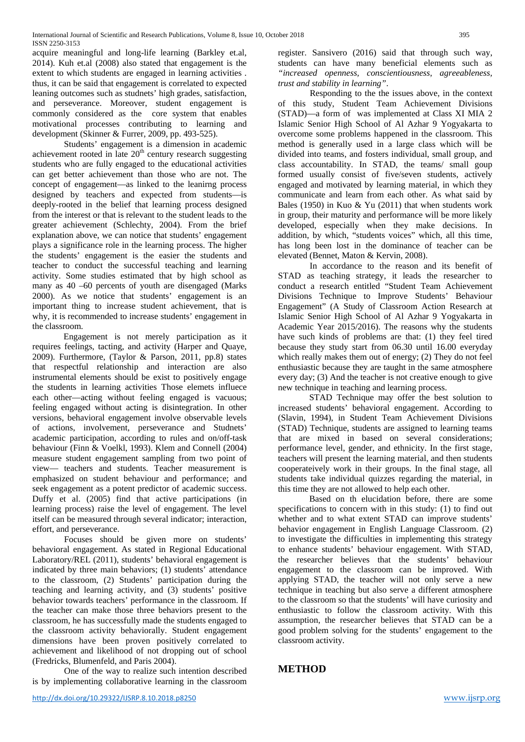acquire meaningful and long-life learning (Barkley et.al, 2014). Kuh et.al (2008) also stated that engagement is the extent to which students are engaged in learning activities . thus, it can be said that engagement is correlated to expected leaning outcomes such as studnets' high grades, satisfaction, and perseverance. Moreover, student engagement is commonly considered as the core system that enables motivational processes contributing to learning and development (Skinner & Furrer, 2009, pp. 493-525).

Students' engagement is a dimension in academic achievement rooted in late  $20<sup>th</sup>$  century research suggesting students who are fully engaged to the educational activities can get better achievement than those who are not. The concept of engagement—as linked to the leanirng process designed by teachers and expected from students—is deeply-rooted in the belief that learning process designed from the interest or that is relevant to the student leads to the greater achievement (Schlechty, 2004). From the brief explanation above, we can notice that students' engagement plays a significance role in the learning process. The higher the students' engagement is the easier the students and teacher to conduct the successful teaching and learning activity. Some studies estimated that by high school as many as 40 –60 percents of youth are disengaged (Marks 2000). As we notice that students' engagement is an important thing to increase student achievement, that is why, it is recommended to increase students' engagement in the classroom.

Engagement is not merely participation as it requires feelings, tacting, and activity (Harper and Quaye, 2009). Furthermore, (Taylor & Parson, 2011, pp.8) states that respectful relationship and interaction are also instrumental elements should be exist to positively engage the students in learning activities Those elemets influece each other—acting without feeling engaged is vacuous; feeling engaged without acting is disintegration. In other versions, behavioral engagement involve observable levels of actions, involvement, perseverance and Studnets' academic participation, according to rules and on/off-task behaviour (Finn & Voelkl, 1993). Klem and Connell (2004) measure student engagement sampling from two point of view— teachers and students. Teacher measurement is emphasized on student behaviour and performance; and seek engagement as a potent predictor of academic success. Duffy et al. (2005) find that active participations (in learning process) raise the level of engagement. The level itself can be measured through several indicator; interaction, effort, and perseverance.

Focuses should be given more on students' behavioral engagement. As stated in Regional Educational Laboratory/REL (2011), students' behavioral engagement is indicated by three main behaviors; (1) students' attendance to the classroom, (2) Students' participation during the teaching and learning activity, and (3) students' positive behavior towards teachers' performance in the classroom. If the teacher can make those three behaviors present to the classroom, he has successfully made the students engaged to the classroom activity behaviorally. Student engagement dimensions have been proven positively correlated to achievement and likelihood of not dropping out of school (Fredricks, Blumenfeld, and Paris 2004).

One of the way to realize such intention described is by implementing collaborative learning in the classroom register. Sansivero (2016) said that through such way, students can have many beneficial elements such as *"increased openness, conscientiousness, agreeableness, trust and stability in learning"*.

Responding to the the issues above, in the context of this study, Student Team Achievement Divisions (STAD)—a form of was implemented at Class XI MIA 2 Islamic Senior High School of Al Azhar 9 Yogyakarta to overcome some problems happened in the classroom. This method is generally used in a large class which will be divided into teams, and fosters individual, small group, and class accountability. In STAD, the teams/ small goup formed usually consist of five/seven students, actively engaged and motivated by learning material, in which they communicate and learn from each other. As what said by Bales (1950) in Kuo & Yu (2011) that when students work in group, their maturity and performance will be more likely developed, especially when they make decisions. In addition, by which, "students voices" which, all this time, has long been lost in the dominance of teacher can be elevated (Bennet, Maton & Kervin, 2008).

In accordance to the reason and its benefit of STAD as teaching strategy, it leads the researcher to conduct a research entitled "Student Team Achievement Divisions Technique to Improve Students' Behaviour Engagement" (A Study of Classroom Action Research at Islamic Senior High School of Al Azhar 9 Yogyakarta in Academic Year 2015/2016). The reasons why the students have such kinds of problems are that: (1) they feel tired because they study start from 06.30 until 16.00 everyday which really makes them out of energy; (2) They do not feel enthusiastic because they are taught in the same atmosphere every day; (3) And the teacher is not creative enough to give new technique in teaching and learning process.

STAD Technique may offer the best solution to increased students' behavioral engagement. According to (Slavin, 1994), in Student Team Achievement Divisions (STAD) Technique, students are assigned to learning teams that are mixed in based on several considerations; performance level, gender, and ethnicity. In the first stage, teachers will present the learning material, and then students cooperateively work in their groups. In the final stage, all students take individual quizzes regarding the material, in this time they are not allowed to help each other.

Based on th elucidation before, there are some specifications to concern with in this study: (1) to find out whether and to what extent STAD can improve students' behavior engagement in English Language Classroom. (2) to investigate the difficulties in implementing this strategy to enhance students' behaviour engagement. With STAD, the researcher believes that the students' behaviour engagement to the classroom can be improved. With applying STAD, the teacher will not only serve a new technique in teaching but also serve a different atmosphere to the classroom so that the students' will have curiosity and enthusiastic to follow the classroom activity. With this assumption, the researcher believes that STAD can be a good problem solving for the students' engagement to the classroom activity.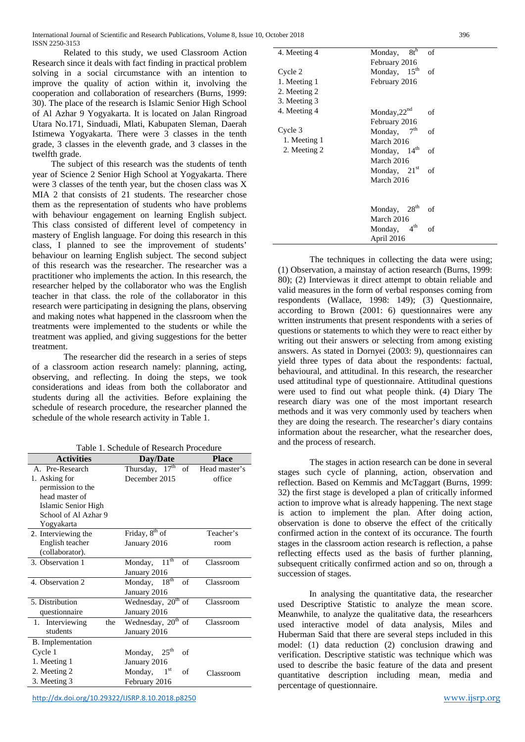Related to this study, we used Classroom Action Research since it deals with fact finding in practical problem solving in a social circumstance with an intention to improve the quality of action within it, involving the cooperation and collaboration of researchers (Burns, 1999: 30). The place of the research is Islamic Senior High School of Al Azhar 9 Yogyakarta. It is located on Jalan Ringroad Utara No.171, Sinduadi, Mlati, Kabupaten Sleman, Daerah Istimewa Yogyakarta. There were 3 classes in the tenth grade, 3 classes in the eleventh grade, and 3 classes in the twelfth grade.

The subject of this research was the students of tenth year of Science 2 Senior High School at Yogyakarta. There were 3 classes of the tenth year, but the chosen class was X MIA 2 that consists of 21 students. The researcher chose them as the representation of students who have problems with behaviour engagement on learning English subject. This class consisted of different level of competency in mastery of English language. For doing this research in this class, I planned to see the improvement of students' behaviour on learning English subject. The second subject of this research was the researcher. The researcher was a practitioner who implements the action. In this research, the researcher helped by the collaborator who was the English teacher in that class. the role of the collaborator in this research were participating in designing the plans, observing and making notes what happened in the classroom when the treatments were implemented to the students or while the treatment was applied, and giving suggestions for the better treatment.

The researcher did the research in a series of steps of a classroom action research namely: planning, acting, observing, and reflecting. In doing the steps, we took considerations and ideas from both the collaborator and students during all the activities. Before explaining the schedule of research procedure, the researcher planned the schedule of the whole research activity in Table 1.

|  | Table 1. Schedule of Research Procedure |  |  |
|--|-----------------------------------------|--|--|
|--|-----------------------------------------|--|--|

| <b>Activities</b>      | Day/Date                                    | <b>Place</b>  |
|------------------------|---------------------------------------------|---------------|
| A. Pre-Research        | Thursday, $\overline{17}^{\text{th}}$<br>of | Head master's |
| 1. Asking for          | December 2015                               | office        |
| permission to the      |                                             |               |
| head master of         |                                             |               |
| Islamic Senior High    |                                             |               |
| School of Al Azhar 9   |                                             |               |
| Yogyakarta             |                                             |               |
| 2. Interviewing the    | Friday, 8 <sup>th</sup> of                  | Teacher's     |
| English teacher        | January 2016                                | room          |
| (collaborator).        |                                             |               |
| 3. Observation 1       | $11^{th}$<br>of<br>Monday,                  | Classroom     |
|                        | January 2016                                |               |
| 4. Observation 2       | 18 <sup>th</sup><br>of<br>Monday,           | Classroom     |
|                        | January 2016                                |               |
| 5. Distribution        | Wednesday, 20 <sup>th</sup> of              | Classroom     |
| questionnaire          | January 2016                                |               |
| 1. Interviewing<br>the | Wednesday, 20 <sup>th</sup> of              | Classroom     |
| students               | January 2016                                |               |
| B. Implementation      |                                             |               |
| Cycle 1                | $25^{\text{th}}$<br>Monday,<br>of           |               |
| 1. Meeting 1           | January 2016                                |               |
| 2. Meeting 2           | $1^{\rm st}$<br>Monday,<br>of               | Classroom     |
| 3. Meeting 3           | February 2016                               |               |

<http://dx.doi.org/10.29322/IJSRP.8.10.2018.p8250>[www.ijsrp.org](http://ijsrp.org/)

| 4. Meeting 4 | $8t^h$<br>Monday,           | of |
|--------------|-----------------------------|----|
|              | February 2016               |    |
| Cycle 2      | Monday, $15^{th}$           | of |
| 1. Meeting 1 | February 2016               |    |
| 2. Meeting 2 |                             |    |
| 3. Meeting 3 |                             |    |
| 4. Meeting 4 | Monday, $22nd$              | of |
|              | February 2016               |    |
| Cycle 3      | Monday, $7th$               | of |
| 1. Meeting 1 | March 2016                  |    |
| 2. Meeting 2 | Monday, $14th$              | of |
|              | March 2016                  |    |
|              | Monday, $21st$              | of |
|              | March 2016                  |    |
|              |                             |    |
|              | 28 <sup>th</sup><br>Monday, | of |
|              | March 2016                  |    |
|              | 4 <sup>th</sup><br>Monday,  | of |
|              | April 2016                  |    |

The techniques in collecting the data were using: (1) Observation, a mainstay of action research (Burns, 1999: 80); (2) Interviewas it direct attempt to obtain reliable and valid measures in the form of verbal responses coming from respondents (Wallace, 1998: 149); (3) Questionnaire, according to Brown (2001: 6) questionnaires were any written instruments that present respondents with a series of questions or statements to which they were to react either by writing out their answers or selecting from among existing answers. As stated in Dornyei (2003: 9), questionnaires can yield three types of data about the respondents: factual, behavioural, and attitudinal. In this research, the researcher used attitudinal type of questionnaire. Attitudinal questions were used to find out what people think. (4) Diary The research diary was one of the most important research methods and it was very commonly used by teachers when they are doing the research. The researcher's diary contains information about the researcher, what the researcher does, and the process of research.

The stages in action research can be done in several stages such cycle of planning, action, observation and reflection. Based on Kemmis and McTaggart (Burns, 1999: 32) the first stage is developed a plan of critically informed action to improve what is already happening. The next stage is action to implement the plan. After doing action, observation is done to observe the effect of the critically confirmed action in the context of its occurance. The fourth stages in the classroom action research is reflection, a pahse reflecting effects used as the basis of further planning, subsequent critically confirmed action and so on, through a succession of stages.

In analysing the quantitative data, the researcher used Descriptive Statistic to analyze the mean score. Meanwhile, to analyze the qualitative data, the researhcers used interactive model of data analysis, Miles and Huberman Said that there are several steps included in this model: (1) data reduction (2) conclusion drawing and verification. Descriptive statistic was technique which was used to describe the basic feature of the data and present quantitative description including mean, media and percentage of questionnaire.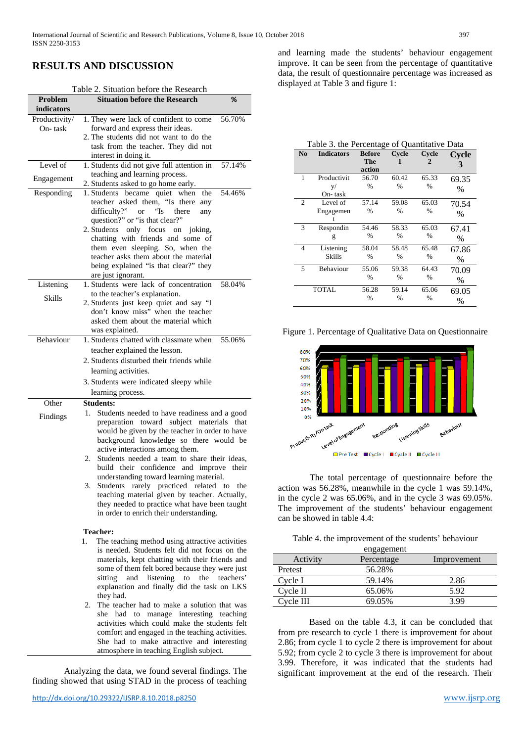# **RESULTS AND DISCUSSION**

#### Table 2. Situation before the Research

| Problem       | <b>Situation before the Research</b>                                                | %      |
|---------------|-------------------------------------------------------------------------------------|--------|
| indicators    |                                                                                     |        |
| Productivity/ | 1. They were lack of confident to come                                              | 56.70% |
| On-task       | forward and express their ideas.                                                    |        |
|               | 2. The students did not want to do the                                              |        |
|               | task from the teacher. They did not                                                 |        |
|               | interest in doing it.                                                               |        |
| Level of      | 1. Students did not give full attention in                                          | 57.14% |
| Engagement    | teaching and learning process.                                                      |        |
|               | 2. Students asked to go home early.                                                 |        |
| Responding    | 1. Students became quiet when<br>the<br>teacher asked them, "Is there               | 54.46% |
|               | any<br>difficulty?"<br>"Is<br><b>or</b><br>there<br>any                             |        |
|               | question?" or "is that clear?"                                                      |        |
|               | only focus on joking,<br>2. Students                                                |        |
|               | chatting with friends and some of                                                   |        |
|               | them even sleeping. So, when the                                                    |        |
|               | teacher asks them about the material                                                |        |
|               | being explained "is that clear?" they                                               |        |
|               | are just ignorant.                                                                  |        |
| Listening     | 1. Students were lack of concentration                                              | 58.04% |
| Skills        | to the teacher's explanation.                                                       |        |
|               | 2. Students just keep quiet and say "I                                              |        |
|               | don't know miss" when the teacher                                                   |        |
|               | asked them about the material which                                                 |        |
|               | was explained.                                                                      |        |
| Behaviour     | 1. Students chatted with classmate when                                             | 55.06% |
|               | teacher explained the lesson.                                                       |        |
|               | 2. Students disturbed their friends while                                           |        |
|               | learning activities.                                                                |        |
|               | 3. Students were indicated sleepy while                                             |        |
|               | learning process.                                                                   |        |
| Other         | <b>Students:</b>                                                                    |        |
| Findings      | Students needed to have readiness and a good<br>1.                                  |        |
|               | preparation toward subject materials that                                           |        |
|               | would be given by the teacher in order to have                                      |        |
|               | background knowledge so there would be                                              |        |
|               | active interactions among them.                                                     |        |
|               | Students needed a team to share their ideas,<br>2.                                  |        |
|               | build their confidence and improve their<br>understanding toward learning material. |        |
|               | Students rarely practiced related to<br>3.                                          | the    |
|               | teaching material given by teacher. Actually,                                       |        |
|               | they needed to practice what have been taught                                       |        |
|               | in order to enrich their understanding.                                             |        |

#### **Teacher:**

- 1. The teaching method using attractive activities is needed. Students felt did not focus on the materials, kept chatting with their friends and some of them felt bored because they were just sitting and listening to the teachers' explanation and finally did the task on LKS they had.
- 2. The teacher had to make a solution that was she had to manage interesting teaching activities which could make the students felt comfort and engaged in the teaching activities. She had to make attractive and interesting atmosphere in teaching English subject.

Analyzing the data, we found several findings. The finding showed that using STAD in the process of teaching

and learning made the students' behaviour engagement improve. It can be seen from the percentage of quantitative data, the result of questionnaire percentage was increased as displayed at Table 3 and figure 1:

#### Table 3. the Percentage of Quantitative Data

| N <sub>0</sub> | <b>Indicators</b> | <b>Before</b> | Cycle         | Cycle         | Cycle |
|----------------|-------------------|---------------|---------------|---------------|-------|
|                |                   | The           | 1             | 2             | 3     |
|                |                   | action        |               |               |       |
| 1              | Productivit       | 56.70         | 60.42         | 65.33         | 69.35 |
|                | V/                | $\frac{0}{0}$ | $\frac{0}{0}$ | $\frac{0}{0}$ | $\%$  |
|                | On- task          |               |               |               |       |
| 2              | Level of          | 57.14         | 59.08         | 65.03         | 70.54 |
|                | Engagemen         | $\frac{0}{0}$ | $\frac{0}{0}$ | $\frac{0}{0}$ | $\%$  |
|                |                   |               |               |               |       |
| 3              | Respondin         | 54.46         | 58.33         | 65.03         | 67.41 |
|                | g                 | $\frac{0}{0}$ | $\frac{0}{0}$ | $\frac{0}{0}$ | $\%$  |
| 4              | Listening         | 58.04         | 58.48         | 65.48         | 67.86 |
|                | <b>Skills</b>     | $\frac{0}{0}$ | $\frac{0}{0}$ | $\frac{0}{0}$ | $\%$  |
| 5              | Behaviour         | 55.06         | 59.38         | 64.43         | 70.09 |
|                |                   | $\%$          | $\%$          | $\%$          | $\%$  |
|                | TOTAL             | 56.28         | 59.14         | 65.06         | 69.05 |
|                |                   | $\%$          | $\%$          | $\%$          | $\%$  |

Figure 1. Percentage of Qualitative Data on Questionnaire



The total percentage of questionnaire before the action was 56.28%, meanwhile in the cycle 1 was 59.14%, in the cycle 2 was 65.06%, and in the cycle 3 was 69.05%. The improvement of the students' behaviour engagement can be showed in table 4.4:

Table 4. the improvement of the students' behaviour

|           | engagement |             |
|-----------|------------|-------------|
| Activity  | Percentage | Improvement |
| Pretest   | 56.28%     |             |
| Cycle I   | 59.14%     | 2.86        |
| Cycle II  | 65.06%     | 5.92        |
| Cycle III | 69.05%     | 3.99        |
|           |            |             |

Based on the table 4.3, it can be concluded that from pre research to cycle 1 there is improvement for about 2.86; from cycle 1 to cycle 2 there is improvement for about 5.92; from cycle 2 to cycle 3 there is improvement for about 3.99. Therefore, it was indicated that the students had significant improvement at the end of the research. Their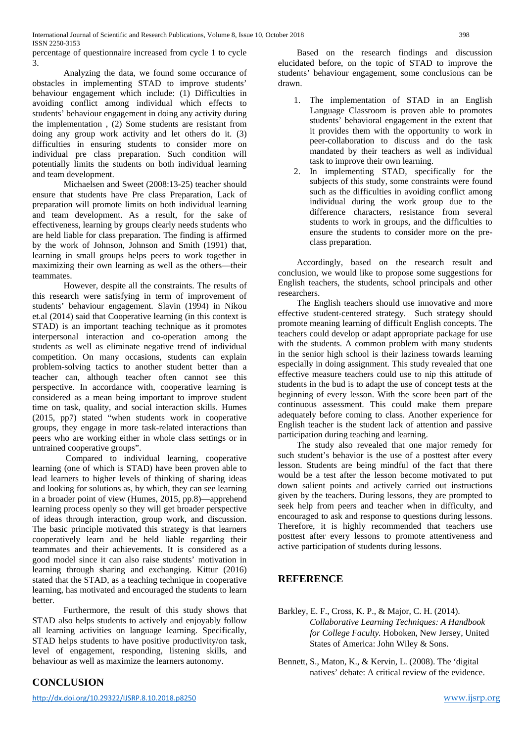percentage of questionnaire increased from cycle 1 to cycle 3.

Analyzing the data, we found some occurance of obstacles in implementing STAD to improve students' behaviour engagement which include: (1) Difficulties in avoiding conflict among individual which effects to students' behaviour engagement in doing any activity during the implementation , (2) Some students are resistant from doing any group work activity and let others do it. (3) difficulties in ensuring students to consider more on individual pre class preparation. Such condition will potentially limits the students on both individual learning and team development.

Michaelsen and Sweet (2008:13-25) teacher should ensure that students have Pre class Preparation, Lack of preparation will promote limits on both individual learning and team development. As a result, for the sake of effectiveness, learning by groups clearly needs students who are held liable for class preparation. The finding is affirmed by the work of Johnson, Johnson and Smith (1991) that, learning in small groups helps peers to work together in maximizing their own learning as well as the others—their teammates.

However, despite all the constraints. The results of this research were satisfying in term of improvement of students' behaviour engagement. Slavin (1994) in Nikou et.al (2014) said that Cooperative learning (in this context is STAD) is an important teaching technique as it promotes interpersonal interaction and co-operation among the students as well as eliminate negative trend of individual competition. On many occasions, students can explain problem-solving tactics to another student better than a teacher can, although teacher often cannot see this perspective. In accordance with, cooperative learning is considered as a mean being important to improve student time on task, quality, and social interaction skills. Humes (2015, pp7) stated "when students work in cooperative groups, they engage in more task-related interactions than peers who are working either in whole class settings or in untrained cooperative groups".

Compared to individual learning, cooperative learning (one of which is STAD) have been proven able to lead learners to higher levels of thinking of sharing ideas and looking for solutions as, by which, they can see learning in a broader point of view (Humes, 2015, pp.8)—apprehend learning process openly so they will get broader perspective of ideas through interaction, group work, and discussion. The basic principle motivated this strategy is that learners cooperatively learn and be held liable regarding their teammates and their achievements. It is considered as a good model since it can also raise students' motivation in learning through sharing and exchanging. Kittur (2016) stated that the STAD, as a teaching technique in cooperative learning, has motivated and encouraged the students to learn better.

Furthermore, the result of this study shows that STAD also helps students to actively and enjoyably follow all learning activities on language learning. Specifically, STAD helps students to have positive productivity/on task, level of engagement, responding, listening skills, and behaviour as well as maximize the learners autonomy.

# **CONCLUSION**

Based on the research findings and discussion elucidated before, on the topic of STAD to improve the students' behaviour engagement, some conclusions can be drawn.

- 1. The implementation of STAD in an English Language Classroom is proven able to promotes students' behavioral engagement in the extent that it provides them with the opportunity to work in peer-collaboration to discuss and do the task mandated by their teachers as well as individual task to improve their own learning.
- 2. In implementing STAD, specifically for the subjects of this study, some constraints were found such as the difficulties in avoiding conflict among individual during the work group due to the difference characters, resistance from several students to work in groups, and the difficulties to ensure the students to consider more on the preclass preparation.

Accordingly, based on the research result and conclusion, we would like to propose some suggestions for English teachers, the students, school principals and other researchers.

The English teachers should use innovative and more effective student-centered strategy. Such strategy should promote meaning learning of difficult English concepts. The teachers could develop or adapt appropriate package for use with the students. A common problem with many students in the senior high school is their laziness towards learning especially in doing assignment. This study revealed that one effective measure teachers could use to nip this attitude of students in the bud is to adapt the use of concept tests at the beginning of every lesson. With the score been part of the continuous assessment. This could make them prepare adequately before coming to class. Another experience for English teacher is the student lack of attention and passive participation during teaching and learning.

The study also revealed that one major remedy for such student's behavior is the use of a posttest after every lesson. Students are being mindful of the fact that there would be a test after the lesson become motivated to put down salient points and actively carried out instructions given by the teachers. During lessons, they are prompted to seek help from peers and teacher when in difficulty, and encouraged to ask and response to questions during lessons. Therefore, it is highly recommended that teachers use posttest after every lessons to promote attentiveness and active participation of students during lessons.

### **REFERENCE**

- Barkley, E. F., Cross, K. P., & Major, C. H. (2014). *Collaborative Learning Techniques: A Handbook for College Faculty.* Hoboken, New Jersey, United States of America: John Wiley & Sons.
- Bennett, S., Maton, K., & Kervin, L. (2008). The 'digital natives' debate: A critical review of the evidence.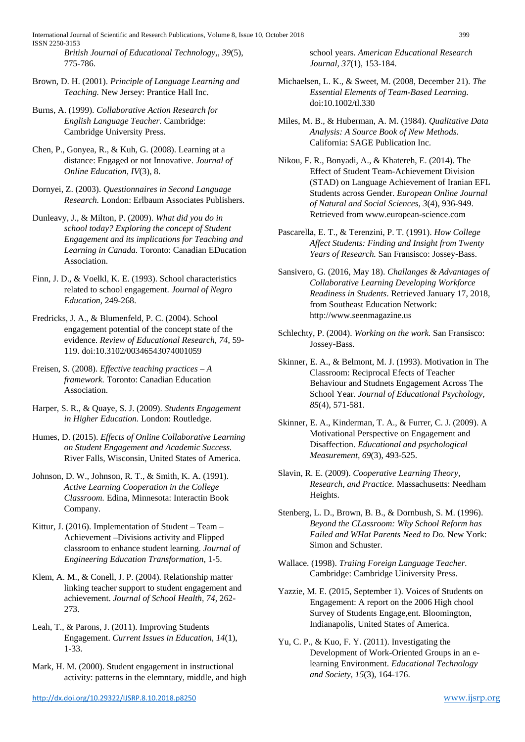International Journal of Scientific and Research Publications, Volume 8, Issue 10, October 2018 399 ISSN 2250-3153

*British Journal of Educational Technology,, 39*(5), 775-786.

Brown, D. H. (2001). *Principle of Language Learning and Teaching.* New Jersey: Prantice Hall Inc.

Burns, A. (1999). *Collaborative Action Research for English Language Teacher.* Cambridge: Cambridge University Press.

Chen, P., Gonyea, R., & Kuh, G. (2008). Learning at a distance: Engaged or not Innovative. *Journal of Online Education, IV*(3), 8.

Dornyei, Z. (2003). *Questionnaires in Second Language Research.* London: Erlbaum Associates Publishers.

Dunleavy, J., & Milton, P. (2009). *What did you do in school today? Exploring the concept of Student Engagement and its implications for Teaching and Learning in Canada.* Toronto: Canadian EDucation Association.

Finn, J. D., & Voelkl, K. E. (1993). School characteristics related to school engagement. *Journal of Negro Education*, 249-268.

Fredricks, J. A., & Blumenfeld, P. C. (2004). School engagement potential of the concept state of the evidence. *Review of Educational Research, 74*, 59- 119. doi:10.3102/00346543074001059

Freisen, S. (2008). *Effective teaching practices – A framework.* Toronto: Canadian Education Association.

Harper, S. R., & Quaye, S. J. (2009). *Students Engagement in Higher Education.* London: Routledge.

Humes, D. (2015). *Effects of Online Collaborative Learning on Student Engagement and Academic Success.* River Falls, Wisconsin, United States of America.

Johnson, D. W., Johnson, R. T., & Smith, K. A. (1991). *Active Learning Cooperation in the College Classroom.* Edina, Minnesota: Interactin Book Company.

Kittur, J. (2016). Implementation of Student – Team – Achievement –Divisions activity and Flipped classroom to enhance student learning. *Journal of Engineering Education Transformation*, 1-5.

Klem, A. M., & Conell, J. P. (2004). Relationship matter linking teacher support to student engagement and achievement. *Journal of School Health, 74*, 262- 273.

Leah, T., & Parons, J. (2011). Improving Students Engagement. *Current Issues in Education, 14*(1), 1-33.

Mark, H. M. (2000). Student engagement in instructional activity: patterns in the elemntary, middle, and high school years. *American Educational Research Journal, 37*(1), 153-184.

- Michaelsen, L. K., & Sweet, M. (2008, December 21). *The Essential Elements of Team-Based Learning.* doi:10.1002/tl.330
- Miles, M. B., & Huberman, A. M. (1984). *Qualitative Data Analysis: A Source Book of New Methods.* California: SAGE Publication Inc.

Nikou, F. R., Bonyadi, A., & Khatereh, E. (2014). The Effect of Student Team-Achievement Division (STAD) on Language Achievement of Iranian EFL Students across Gender. *European Online Journal of Natural and Social Sciences, 3*(4), 936-949. Retrieved from www.european-science.com

- Pascarella, E. T., & Terenzini, P. T. (1991). *How College Affect Students: Finding and Insight from Twenty Years of Research.* San Fransisco: Jossey-Bass.
- Sansivero, G. (2016, May 18). *Challanges & Advantages of Collaborative Learning Developing Workforce Readiness in Students*. Retrieved January 17, 2018, from Southeast Education Network: http://www.seenmagazine.us
- Schlechty, P. (2004). *Working on the work.* San Fransisco: Jossey-Bass.
- Skinner, E. A., & Belmont, M. J. (1993). Motivation in The Classroom: Reciprocal Efects of Teacher Behaviour and Studnets Engagement Across The School Year. *Journal of Educational Psychology, 85*(4), 571-581.

Skinner, E. A., Kinderman, T. A., & Furrer, C. J. (2009). A Motivational Perspective on Engagement and Disaffection. *Educational and psychological Measurement, 69*(3), 493-525.

- Slavin, R. E. (2009). *Cooperative Learning Theory, Research, and Practice.* Massachusetts: Needham Heights.
- Stenberg, L. D., Brown, B. B., & Dornbush, S. M. (1996). *Beyond the CLassroom: Why School Reform has Failed and WHat Parents Need to Do.* New York: Simon and Schuster.
- Wallace. (1998). *Traiing Foreign Language Teacher.* Cambridge: Cambridge Uiniversity Press.
- Yazzie, M. E. (2015, September 1). Voices of Students on Engagement: A report on the 2006 High chool Survey of Students Engage,ent. Bloomington, Indianapolis, United States of America.
- Yu, C. P., & Kuo, F. Y. (2011). Investigating the Development of Work-Oriented Groups in an elearning Environment. *Educational Technology and Society, 15*(3), 164-176.